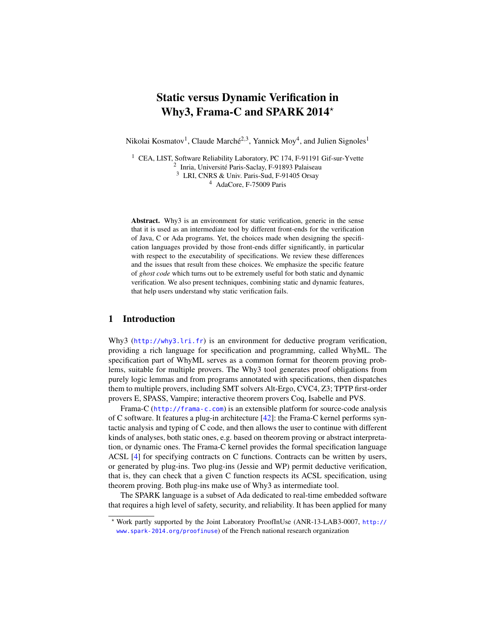# Static versus Dynamic Verification in Why3, Frama-C and SPARK 2014?

Nikolai Kosmatov<sup>1</sup>, Claude Marché<sup>2,3</sup>, Yannick Moy<sup>4</sup>, and Julien Signoles<sup>1</sup>

<sup>1</sup> CEA, LIST, Software Reliability Laboratory, PC 174, F-91191 Gif-sur-Yvette <sup>2</sup> Inria, Université Paris-Saclay, F-91893 Palaiseau <sup>3</sup> LRI, CNRS & Univ. Paris-Sud, F-91405 Orsay

<sup>4</sup> AdaCore, F-75009 Paris

Abstract. Why3 is an environment for static verification, generic in the sense that it is used as an intermediate tool by different front-ends for the verification of Java, C or Ada programs. Yet, the choices made when designing the specification languages provided by those front-ends differ significantly, in particular with respect to the executability of specifications. We review these differences and the issues that result from these choices. We emphasize the specific feature of *ghost code* which turns out to be extremely useful for both static and dynamic verification. We also present techniques, combining static and dynamic features, that help users understand why static verification fails.

# 1 Introduction

Why3 (<http://why3.lri.fr>) is an environment for deductive program verification, providing a rich language for specification and programming, called WhyML. The specification part of WhyML serves as a common format for theorem proving problems, suitable for multiple provers. The Why3 tool generates proof obligations from purely logic lemmas and from programs annotated with specifications, then dispatches them to multiple provers, including SMT solvers Alt-Ergo, CVC4, Z3; TPTP first-order provers E, SPASS, Vampire; interactive theorem provers Coq, Isabelle and PVS.

Frama-C (<http://frama-c.com>) is an extensible platform for source-code analysis of C software. It features a plug-in architecture [\[42\]](#page-15-0): the Frama-C kernel performs syntactic analysis and typing of C code, and then allows the user to continue with different kinds of analyses, both static ones, e.g. based on theorem proving or abstract interpretation, or dynamic ones. The Frama-C kernel provides the formal specification language ACSL [\[4\]](#page-14-0) for specifying contracts on C functions. Contracts can be written by users, or generated by plug-ins. Two plug-ins (Jessie and WP) permit deductive verification, that is, they can check that a given C function respects its ACSL specification, using theorem proving. Both plug-ins make use of Why3 as intermediate tool.

The SPARK language is a subset of Ada dedicated to real-time embedded software that requires a high level of safety, security, and reliability. It has been applied for many

<sup>?</sup> Work partly supported by the Joint Laboratory ProofInUse (ANR-13-LAB3-0007, [http://](http://www.spark-2014.org/proofinuse) [www.spark-2014.org/proofinuse](http://www.spark-2014.org/proofinuse)) of the French national research organization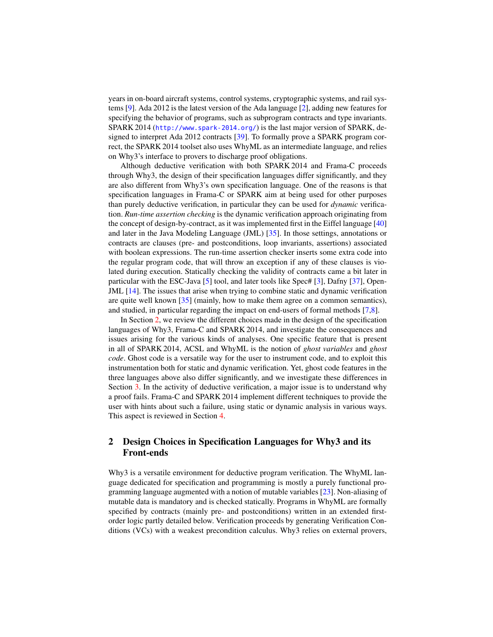years in on-board aircraft systems, control systems, cryptographic systems, and rail systems [\[9\]](#page-14-1). Ada 2012 is the latest version of the Ada language [\[2\]](#page-14-2), adding new features for specifying the behavior of programs, such as subprogram contracts and type invariants. SPARK 2014 (<http://www.spark-2014.org/>) is the last major version of SPARK, designed to interpret Ada 2012 contracts [\[39\]](#page-15-1). To formally prove a SPARK program correct, the SPARK 2014 toolset also uses WhyML as an intermediate language, and relies on Why3's interface to provers to discharge proof obligations.

Although deductive verification with both SPARK 2014 and Frama-C proceeds through Why3, the design of their specification languages differ significantly, and they are also different from Why3's own specification language. One of the reasons is that specification languages in Frama-C or SPARK aim at being used for other purposes than purely deductive verification, in particular they can be used for *dynamic* verification. *Run-time assertion checking* is the dynamic verification approach originating from the concept of design-by-contract, as it was implemented first in the Eiffel language [\[40\]](#page-15-2) and later in the Java Modeling Language (JML) [\[35\]](#page-15-3). In those settings, annotations or contracts are clauses (pre- and postconditions, loop invariants, assertions) associated with boolean expressions. The run-time assertion checker inserts some extra code into the regular program code, that will throw an exception if any of these clauses is violated during execution. Statically checking the validity of contracts came a bit later in particular with the ESC-Java  $[5]$  tool, and later tools like Spec#  $[3]$ , Dafny  $[37]$ , Open-JML [\[14\]](#page-14-5). The issues that arise when trying to combine static and dynamic verification are quite well known [\[35\]](#page-15-3) (mainly, how to make them agree on a common semantics), and studied, in particular regarding the impact on end-users of formal methods [\[7,](#page-14-6)[8\]](#page-14-7).

In Section [2,](#page-1-0) we review the different choices made in the design of the specification languages of Why3, Frama-C and SPARK 2014, and investigate the consequences and issues arising for the various kinds of analyses. One specific feature that is present in all of SPARK 2014, ACSL and WhyML is the notion of *ghost variables* and *ghost code*. Ghost code is a versatile way for the user to instrument code, and to exploit this instrumentation both for static and dynamic verification. Yet, ghost code features in the three languages above also differ significantly, and we investigate these differences in Section [3.](#page-8-0) In the activity of deductive verification, a major issue is to understand why a proof fails. Frama-C and SPARK 2014 implement different techniques to provide the user with hints about such a failure, using static or dynamic analysis in various ways. This aspect is reviewed in Section [4.](#page-11-0)

# <span id="page-1-0"></span>2 Design Choices in Specification Languages for Why3 and its Front-ends

Why3 is a versatile environment for deductive program verification. The WhyML language dedicated for specification and programming is mostly a purely functional programming language augmented with a notion of mutable variables [\[23\]](#page-15-5). Non-aliasing of mutable data is mandatory and is checked statically. Programs in WhyML are formally specified by contracts (mainly pre- and postconditions) written in an extended firstorder logic partly detailed below. Verification proceeds by generating Verification Conditions (VCs) with a weakest precondition calculus. Why3 relies on external provers,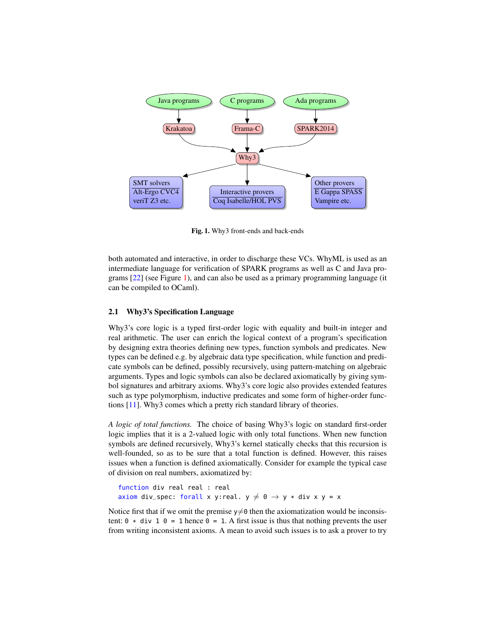

<span id="page-2-0"></span>Fig. 1. Why3 front-ends and back-ends

both automated and interactive, in order to discharge these VCs. WhyML is used as an intermediate language for verification of SPARK programs as well as C and Java programs [\[22\]](#page-15-6) (see Figure [1\)](#page-2-0), and can also be used as a primary programming language (it can be compiled to OCaml).

### 2.1 Why3's Specification Language

Why3's core logic is a typed first-order logic with equality and built-in integer and real arithmetic. The user can enrich the logical context of a program's specification by designing extra theories defining new types, function symbols and predicates. New types can be defined e.g. by algebraic data type specification, while function and predicate symbols can be defined, possibly recursively, using pattern-matching on algebraic arguments. Types and logic symbols can also be declared axiomatically by giving symbol signatures and arbitrary axioms. Why3's core logic also provides extended features such as type polymorphism, inductive predicates and some form of higher-order functions [\[11\]](#page-14-8). Why3 comes which a pretty rich standard library of theories.

*A logic of total functions.* The choice of basing Why3's logic on standard first-order logic implies that it is a 2-valued logic with only total functions. When new function symbols are defined recursively, Why3's kernel statically checks that this recursion is well-founded, so as to be sure that a total function is defined. However, this raises issues when a function is defined axiomatically. Consider for example the typical case of division on real numbers, axiomatized by:

```
function div real real : real
axiom div_spec: forall x y:real. y \neq 0 \rightarrow y * div x y = x
```
Notice first that if we omit the premise  $y\neq 0$  then the axiomatization would be inconsistent:  $\theta * div 1 \theta = 1$  hence  $\theta = 1$ . A first issue is thus that nothing prevents the user from writing inconsistent axioms. A mean to avoid such issues is to ask a prover to try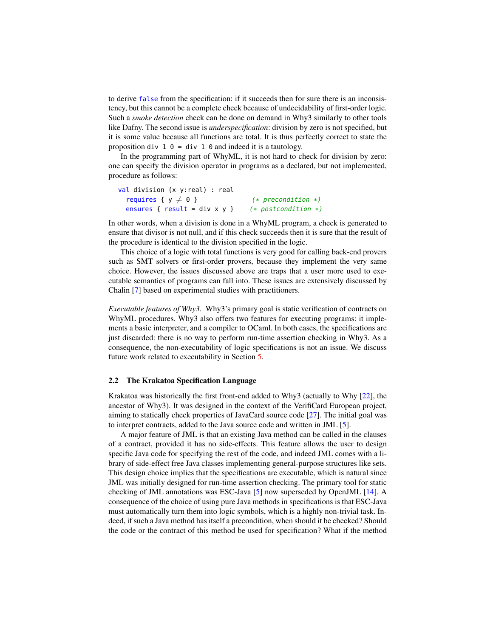to derive false from the specification: if it succeeds then for sure there is an inconsistency, but this cannot be a complete check because of undecidability of first-order logic. Such a *smoke detection* check can be done on demand in Why3 similarly to other tools like Dafny. The second issue is *underspecification*: division by zero is not specified, but it is some value because all functions are total. It is thus perfectly correct to state the proposition div  $1 \theta = \text{div } 1 \theta$  and indeed it is a tautology.

In the programming part of WhyML, it is not hard to check for division by zero: one can specify the division operator in programs as a declared, but not implemented, procedure as follows:

```
val division (x y:real) : real
  requires { y \neq 0 } (*) (* precondition *)
 ensures { result = div x y } (* postcondition *)
```
In other words, when a division is done in a WhyML program, a check is generated to ensure that divisor is not null, and if this check succeeds then it is sure that the result of the procedure is identical to the division specified in the logic.

This choice of a logic with total functions is very good for calling back-end provers such as SMT solvers or first-order provers, because they implement the very same choice. However, the issues discussed above are traps that a user more used to executable semantics of programs can fall into. These issues are extensively discussed by Chalin [\[7\]](#page-14-6) based on experimental studies with practitioners.

*Executable features of Why3.* Why3's primary goal is static verification of contracts on WhyML procedures. Why3 also offers two features for executing programs: it implements a basic interpreter, and a compiler to OCaml. In both cases, the specifications are just discarded: there is no way to perform run-time assertion checking in Why3. As a consequence, the non-executability of logic specifications is not an issue. We discuss future work related to executability in Section [5.](#page-12-0)

### 2.2 The Krakatoa Specification Language

Krakatoa was historically the first front-end added to Why3 (actually to Why  $[22]$ , the ancestor of Why3). It was designed in the context of the VerifiCard European project, aiming to statically check properties of JavaCard source code [\[27\]](#page-15-7). The initial goal was to interpret contracts, added to the Java source code and written in JML [\[5\]](#page-14-3).

A major feature of JML is that an existing Java method can be called in the clauses of a contract, provided it has no side-effects. This feature allows the user to design specific Java code for specifying the rest of the code, and indeed JML comes with a library of side-effect free Java classes implementing general-purpose structures like sets. This design choice implies that the specifications are executable, which is natural since JML was initially designed for run-time assertion checking. The primary tool for static checking of JML annotations was ESC-Java [\[5\]](#page-14-3) now superseded by OpenJML [\[14\]](#page-14-5). A consequence of the choice of using pure Java methods in specifications is that ESC-Java must automatically turn them into logic symbols, which is a highly non-trivial task. Indeed, if such a Java method has itself a precondition, when should it be checked? Should the code or the contract of this method be used for specification? What if the method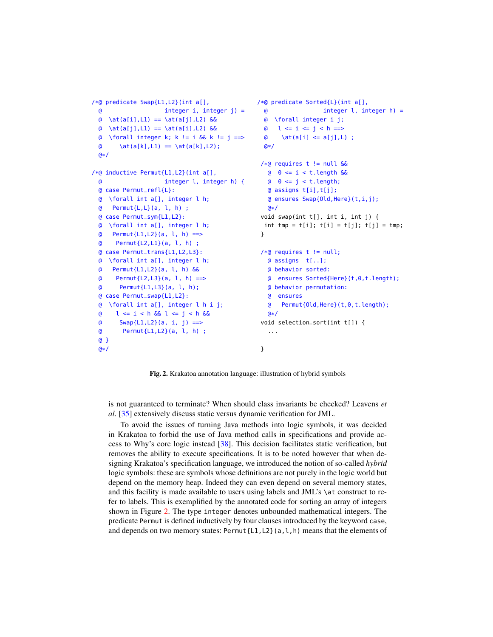```
/*@ predicate Swap{L1,L2}(int a[],
  @ integer i, integer j) =
  @ \at(a[i],L1) == \at(a[j],L2) &&
  @ \atop {a[i],L1} == \atop {a[i],L2} @@ \forall integer k; k != i && k != j ==>
  @ \atop{a[k],L1} == \atop{a[k],L2};a*/*@ inductive Permut{L1,L2}(int a[],
  @ integer l, integer h) {
  @ case Permut_refl{L}:
  @ \forall int a[], integer l h;
  @ Permut{L,L}(a, l, h) ;
  @ case Permut_sym{L1,L2}:
  @ \forall int a[], integer l h;
  @ Permut{L1,L2}(a, l, h) ==>
  @ Permut{L2,L1}(a, l, h) ;
  @ case Permut_trans{L1,L2,L3}:
  @ \forall int a[], integer l h;
  @ Permut{L1,L2}(a, l, h) &&
  @ Permut{L2,L3}(a, l, h) ==>
  @ Permut{L1,L3}(a, l, h);
  @ case Permut_swap{L1,L2}:
  @ \forall int a[], integer l h i j;
  @ l <= i < h && l <= j < h &&
  @ Swap{L1,L2}(a, i, j) ==>
  @ Permut{L1,L2}(a, l, h) ;
  @ }
  @*/
                                                       /*@ predicate Sorted{L}(int a[],
                                                         @ integer l, integer h) =
                                                         @ \forall integer i j;
                                                         @ l <= i <= j < h ==>
                                                         @ \atop|d| \atop d|a[i] \atop d|b| \atop d|b| \atop d|b| \atop d|b| \atop d|b| \atop d|b| \atop d|b| \atop d|b| \atop d|b| \atop d|b| \atop d|b| \atop d|b| \atop d|b| \atop d|b| \atop d|b| \atop d|b| \atop d|b| \atop d|b| \atop d|b| \atop d|b| \atop d|b| \atop d|b| \atop d|b| \atop d|b| \atop d|b| \atop d|b| \atop d|b| \atop d|b| \atop d|b| \ata*/*@ requires t != null &&
                                                          @ 0 \le i \le t.length \&@ 0 \le j \le t.length;@ assigns t[i],t[j];
                                                          @ ensures Swap{Old,Here}(t,i,j);
                                                          a*void swap(int t[], int i, int j) {
                                                         int tmp = t[i]; t[i] = t[j]; t[j] = tmp;
                                                        }
                                                        /*@ requires t != null;@ assigns t[..];
                                                          @ behavior sorted:
                                                         @ ensures Sorted{Here}(t,0,t.length);
                                                         @ behavior permutation:
                                                          @ ensures
                                                          @ Permut{Old,Here}(t,0,t.length);
                                                          @*/
                                                        void selection_sort(int t[]) {
                                                           ...
                                                        }
```
<span id="page-4-0"></span>Fig. 2. Krakatoa annotation language: illustration of hybrid symbols

is not guaranteed to terminate? When should class invariants be checked? Leavens *et al.* [\[35\]](#page-15-3) extensively discuss static versus dynamic verification for JML.

To avoid the issues of turning Java methods into logic symbols, it was decided in Krakatoa to forbid the use of Java method calls in specifications and provide access to Why's core logic instead [\[38\]](#page-15-8). This decision facilitates static verification, but removes the ability to execute specifications. It is to be noted however that when designing Krakatoa's specification language, we introduced the notion of so-called *hybrid* logic symbols: these are symbols whose definitions are not purely in the logic world but depend on the memory heap. Indeed they can even depend on several memory states, and this facility is made available to users using labels and JML's \at construct to refer to labels. This is exemplified by the annotated code for sorting an array of integers shown in Figure [2.](#page-4-0) The type integer denotes unbounded mathematical integers. The predicate Permut is defined inductively by four clauses introduced by the keyword case, and depends on two memory states: Permut{L1,L2}(a,l,h) means that the elements of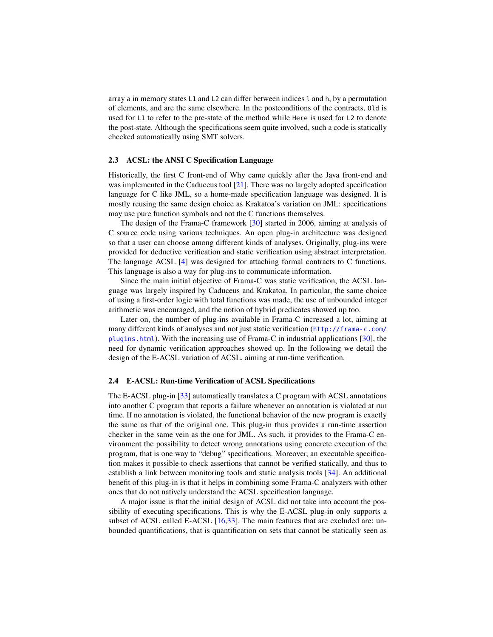array a in memory states L1 and L2 can differ between indices l and h, by a permutation of elements, and are the same elsewhere. In the postconditions of the contracts, Old is used for L1 to refer to the pre-state of the method while Here is used for L2 to denote the post-state. Although the specifications seem quite involved, such a code is statically checked automatically using SMT solvers.

### 2.3 ACSL: the ANSI C Specification Language

Historically, the first C front-end of Why came quickly after the Java front-end and was implemented in the Caduceus tool [\[21\]](#page-15-9). There was no largely adopted specification language for C like JML, so a home-made specification language was designed. It is mostly reusing the same design choice as Krakatoa's variation on JML: specifications may use pure function symbols and not the C functions themselves.

The design of the Frama-C framework [\[30\]](#page-15-10) started in 2006, aiming at analysis of C source code using various techniques. An open plug-in architecture was designed so that a user can choose among different kinds of analyses. Originally, plug-ins were provided for deductive verification and static verification using abstract interpretation. The language ACSL [\[4\]](#page-14-0) was designed for attaching formal contracts to C functions. This language is also a way for plug-ins to communicate information.

Since the main initial objective of Frama-C was static verification, the ACSL language was largely inspired by Caduceus and Krakatoa. In particular, the same choice of using a first-order logic with total functions was made, the use of unbounded integer arithmetic was encouraged, and the notion of hybrid predicates showed up too.

Later on, the number of plug-ins available in Frama-C increased a lot, aiming at many different kinds of analyses and not just static verification ([http://frama-c.com/](http://frama-c.com/plugins.html) [plugins.html](http://frama-c.com/plugins.html)). With the increasing use of Frama-C in industrial applications [\[30\]](#page-15-10), the need for dynamic verification approaches showed up. In the following we detail the design of the E-ACSL variation of ACSL, aiming at run-time verification.

### 2.4 E-ACSL: Run-time Verification of ACSL Specifications

The E-ACSL plug-in [\[33\]](#page-15-11) automatically translates a C program with ACSL annotations into another C program that reports a failure whenever an annotation is violated at run time. If no annotation is violated, the functional behavior of the new program is exactly the same as that of the original one. This plug-in thus provides a run-time assertion checker in the same vein as the one for JML. As such, it provides to the Frama-C environment the possibility to detect wrong annotations using concrete execution of the program, that is one way to "debug" specifications. Moreover, an executable specification makes it possible to check assertions that cannot be verified statically, and thus to establish a link between monitoring tools and static analysis tools [\[34\]](#page-15-12). An additional benefit of this plug-in is that it helps in combining some Frama-C analyzers with other ones that do not natively understand the ACSL specification language.

A major issue is that the initial design of ACSL did not take into account the possibility of executing specifications. This is why the E-ACSL plug-in only supports a subset of ACSL called E-ACSL [\[16](#page-14-9)[,33\]](#page-15-11). The main features that are excluded are: unbounded quantifications, that is quantification on sets that cannot be statically seen as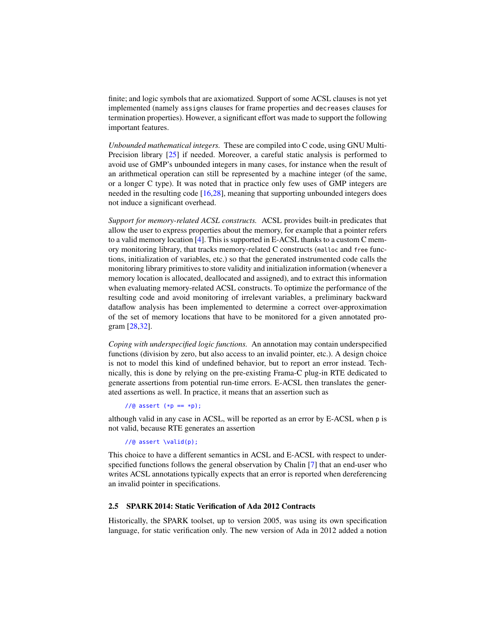finite; and logic symbols that are axiomatized. Support of some ACSL clauses is not yet implemented (namely assigns clauses for frame properties and decreases clauses for termination properties). However, a significant effort was made to support the following important features.

*Unbounded mathematical integers.* These are compiled into C code, using GNU Multi-Precision library [\[25\]](#page-15-13) if needed. Moreover, a careful static analysis is performed to avoid use of GMP's unbounded integers in many cases, for instance when the result of an arithmetical operation can still be represented by a machine integer (of the same, or a longer C type). It was noted that in practice only few uses of GMP integers are needed in the resulting code [\[16](#page-14-9)[,28\]](#page-15-14), meaning that supporting unbounded integers does not induce a significant overhead.

*Support for memory-related ACSL constructs.* ACSL provides built-in predicates that allow the user to express properties about the memory, for example that a pointer refers to a valid memory location [\[4\]](#page-14-0). This is supported in E-ACSL thanks to a custom C memory monitoring library, that tracks memory-related C constructs (malloc and free functions, initialization of variables, etc.) so that the generated instrumented code calls the monitoring library primitives to store validity and initialization information (whenever a memory location is allocated, deallocated and assigned), and to extract this information when evaluating memory-related ACSL constructs. To optimize the performance of the resulting code and avoid monitoring of irrelevant variables, a preliminary backward dataflow analysis has been implemented to determine a correct over-approximation of the set of memory locations that have to be monitored for a given annotated program [\[28,](#page-15-14)[32\]](#page-15-15).

*Coping with underspecified logic functions.* An annotation may contain underspecified functions (division by zero, but also access to an invalid pointer, etc.). A design choice is not to model this kind of undefined behavior, but to report an error instead. Technically, this is done by relying on the pre-existing Frama-C plug-in RTE dedicated to generate assertions from potential run-time errors. E-ACSL then translates the generated assertions as well. In practice, it means that an assertion such as

 $//@$  assert  $(*p == *p);$ 

although valid in any case in ACSL, will be reported as an error by E-ACSL when p is not valid, because RTE generates an assertion

```
//@ assert \valid(p);
```
This choice to have a different semantics in ACSL and E-ACSL with respect to underspecified functions follows the general observation by Chalin [\[7\]](#page-14-6) that an end-user who writes ACSL annotations typically expects that an error is reported when dereferencing an invalid pointer in specifications.

### <span id="page-6-0"></span>2.5 SPARK 2014: Static Verification of Ada 2012 Contracts

Historically, the SPARK toolset, up to version 2005, was using its own specification language, for static verification only. The new version of Ada in 2012 added a notion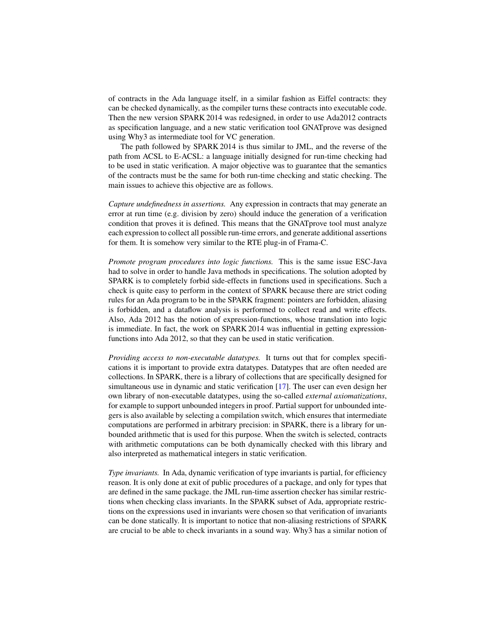of contracts in the Ada language itself, in a similar fashion as Eiffel contracts: they can be checked dynamically, as the compiler turns these contracts into executable code. Then the new version SPARK 2014 was redesigned, in order to use Ada2012 contracts as specification language, and a new static verification tool GNATprove was designed using Why3 as intermediate tool for VC generation.

The path followed by SPARK 2014 is thus similar to JML, and the reverse of the path from ACSL to E-ACSL: a language initially designed for run-time checking had to be used in static verification. A major objective was to guarantee that the semantics of the contracts must be the same for both run-time checking and static checking. The main issues to achieve this objective are as follows.

*Capture undefinedness in assertions.* Any expression in contracts that may generate an error at run time (e.g. division by zero) should induce the generation of a verification condition that proves it is defined. This means that the GNATprove tool must analyze each expression to collect all possible run-time errors, and generate additional assertions for them. It is somehow very similar to the RTE plug-in of Frama-C.

*Promote program procedures into logic functions.* This is the same issue ESC-Java had to solve in order to handle Java methods in specifications. The solution adopted by SPARK is to completely forbid side-effects in functions used in specifications. Such a check is quite easy to perform in the context of SPARK because there are strict coding rules for an Ada program to be in the SPARK fragment: pointers are forbidden, aliasing is forbidden, and a dataflow analysis is performed to collect read and write effects. Also, Ada 2012 has the notion of expression-functions, whose translation into logic is immediate. In fact, the work on SPARK 2014 was influential in getting expressionfunctions into Ada 2012, so that they can be used in static verification.

*Providing access to non-executable datatypes.* It turns out that for complex specifications it is important to provide extra datatypes. Datatypes that are often needed are collections. In SPARK, there is a library of collections that are specifically designed for simultaneous use in dynamic and static verification [\[17\]](#page-14-10). The user can even design her own library of non-executable datatypes, using the so-called *external axiomatizations*, for example to support unbounded integers in proof. Partial support for unbounded integers is also available by selecting a compilation switch, which ensures that intermediate computations are performed in arbitrary precision: in SPARK, there is a library for unbounded arithmetic that is used for this purpose. When the switch is selected, contracts with arithmetic computations can be both dynamically checked with this library and also interpreted as mathematical integers in static verification.

*Type invariants.* In Ada, dynamic verification of type invariants is partial, for efficiency reason. It is only done at exit of public procedures of a package, and only for types that are defined in the same package. the JML run-time assertion checker has similar restrictions when checking class invariants. In the SPARK subset of Ada, appropriate restrictions on the expressions used in invariants were chosen so that verification of invariants can be done statically. It is important to notice that non-aliasing restrictions of SPARK are crucial to be able to check invariants in a sound way. Why3 has a similar notion of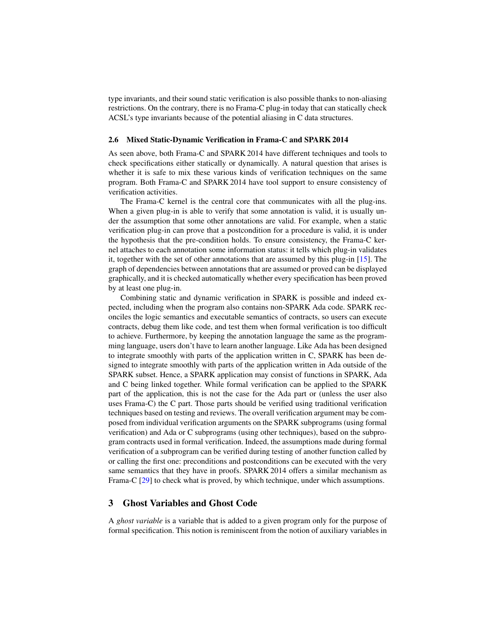type invariants, and their sound static verification is also possible thanks to non-aliasing restrictions. On the contrary, there is no Frama-C plug-in today that can statically check ACSL's type invariants because of the potential aliasing in C data structures.

#### 2.6 Mixed Static-Dynamic Verification in Frama-C and SPARK 2014

As seen above, both Frama-C and SPARK 2014 have different techniques and tools to check specifications either statically or dynamically. A natural question that arises is whether it is safe to mix these various kinds of verification techniques on the same program. Both Frama-C and SPARK 2014 have tool support to ensure consistency of verification activities.

The Frama-C kernel is the central core that communicates with all the plug-ins. When a given plug-in is able to verify that some annotation is valid, it is usually under the assumption that some other annotations are valid. For example, when a static verification plug-in can prove that a postcondition for a procedure is valid, it is under the hypothesis that the pre-condition holds. To ensure consistency, the Frama-C kernel attaches to each annotation some information status: it tells which plug-in validates it, together with the set of other annotations that are assumed by this plug-in [\[15\]](#page-14-11). The graph of dependencies between annotations that are assumed or proved can be displayed graphically, and it is checked automatically whether every specification has been proved by at least one plug-in.

Combining static and dynamic verification in SPARK is possible and indeed expected, including when the program also contains non-SPARK Ada code. SPARK reconciles the logic semantics and executable semantics of contracts, so users can execute contracts, debug them like code, and test them when formal verification is too difficult to achieve. Furthermore, by keeping the annotation language the same as the programming language, users don't have to learn another language. Like Ada has been designed to integrate smoothly with parts of the application written in C, SPARK has been designed to integrate smoothly with parts of the application written in Ada outside of the SPARK subset. Hence, a SPARK application may consist of functions in SPARK, Ada and C being linked together. While formal verification can be applied to the SPARK part of the application, this is not the case for the Ada part or (unless the user also uses Frama-C) the C part. Those parts should be verified using traditional verification techniques based on testing and reviews. The overall verification argument may be composed from individual verification arguments on the SPARK subprograms (using formal verification) and Ada or C subprograms (using other techniques), based on the subprogram contracts used in formal verification. Indeed, the assumptions made during formal verification of a subprogram can be verified during testing of another function called by or calling the first one: preconditions and postconditions can be executed with the very same semantics that they have in proofs. SPARK 2014 offers a similar mechanism as Frama-C [\[29\]](#page-15-16) to check what is proved, by which technique, under which assumptions.

# <span id="page-8-0"></span>3 Ghost Variables and Ghost Code

A *ghost variable* is a variable that is added to a given program only for the purpose of formal specification. This notion is reminiscent from the notion of auxiliary variables in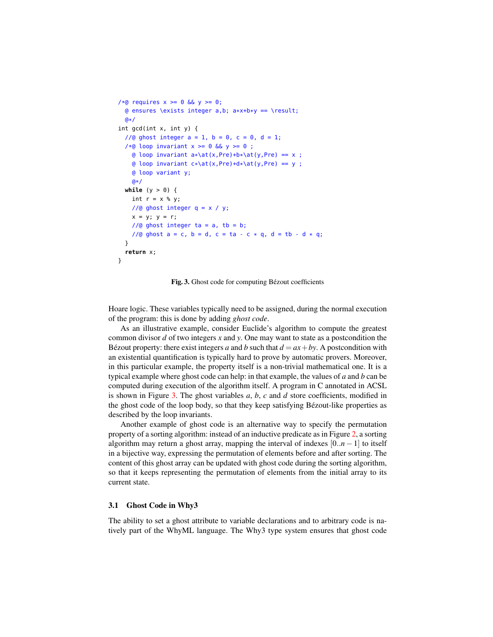```
/*@ requires x \ge 0 && y \ge 0;
 @ ensures \exists integer a,b; a*x+b*y == \result;
 @*/
int gcd(int x, int y) {
 //@ ghost integer a = 1, b = 0, c = 0, d = 1;
 /*@ loop invariant x >= 0 & y >= 0;
   \theta loop invariant a*\at(x,Pre)+b*\at(y,Pre) == x;
   \theta loop invariant c*\at(x,Pre)+d*\at(y,Pre) == y ;
   @ loop variant y;
   a*while (y > 0) {
   int r = x % y;//@ ghost integer q = x / y;
   x = y; y = r;
   //@ ghost integer ta = a, tb = b;
   //@ ghost a = c, b = d, c = ta - c * q, d = tb - d * q;
 }
  return x;
}
```
<span id="page-9-0"></span>Fig. 3. Ghost code for computing Bézout coefficients

Hoare logic. These variables typically need to be assigned, during the normal execution of the program: this is done by adding *ghost code*.

As an illustrative example, consider Euclide's algorithm to compute the greatest common divisor *d* of two integers *x* and *y*. One may want to state as a postcondition the Bézout property: there exist integers *a* and *b* such that  $d = ax + by$ . A postcondition with an existential quantification is typically hard to prove by automatic provers. Moreover, in this particular example, the property itself is a non-trivial mathematical one. It is a typical example where ghost code can help: in that example, the values of *a* and *b* can be computed during execution of the algorithm itself. A program in C annotated in ACSL is shown in Figure [3.](#page-9-0) The ghost variables *a*, *b*, *c* and *d* store coefficients, modified in the ghost code of the loop body, so that they keep satisfying Bézout-like properties as described by the loop invariants.

Another example of ghost code is an alternative way to specify the permutation property of a sorting algorithm: instead of an inductive predicate as in Figure [2,](#page-4-0) a sorting algorithm may return a ghost array, mapping the interval of indexes  $[0..n-1]$  to itself in a bijective way, expressing the permutation of elements before and after sorting. The content of this ghost array can be updated with ghost code during the sorting algorithm, so that it keeps representing the permutation of elements from the initial array to its current state.

### 3.1 Ghost Code in Why3

The ability to set a ghost attribute to variable declarations and to arbitrary code is natively part of the WhyML language. The Why3 type system ensures that ghost code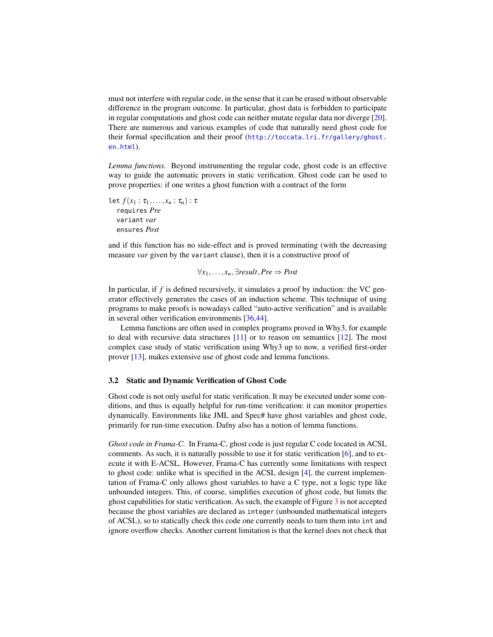must not interfere with regular code, in the sense that it can be erased without observable difference in the program outcome. In particular, ghost data is forbidden to participate in regular computations and ghost code can neither mutate regular data nor diverge [\[20\]](#page-15-17). There are numerous and various examples of code that naturally need ghost code for their formal specification and their proof ([http://toccata.lri.fr/gallery/ghost.](http://toccata.lri.fr/gallery/ghost.en.html) [en.html](http://toccata.lri.fr/gallery/ghost.en.html)).

*Lemma functions.* Beyond instrumenting the regular code, ghost code is an effective way to guide the automatic provers in static verification. Ghost code can be used to prove properties: if one writes a ghost function with a contract of the form

```
let f(x_1 : \tau_1, \ldots, x_n : \tau_n) : \taurequires Pre
   variant var
   ensures Post
```
and if this function has no side-effect and is proved terminating (with the decreasing measure *var* given by the variant clause), then it is a constructive proof of

$$
\forall x_1, \ldots, x_n, \exists result, Pre \Rightarrow Post
$$

In particular, if f is defined recursively, it simulates a proof by induction: the VC generator effectively generates the cases of an induction scheme. This technique of using programs to make proofs is nowadays called "auto-active verification" and is available in several other verification environments [\[36,](#page-15-18)[44\]](#page-15-19).

Lemma functions are often used in complex programs proved in Why3, for example to deal with recursive data structures  $[11]$  or to reason on semantics  $[12]$ . The most complex case study of static verification using Why3 up to now, a verified first-order prover [\[13\]](#page-14-13), makes extensive use of ghost code and lemma functions.

### 3.2 Static and Dynamic Verification of Ghost Code

Ghost code is not only useful for static verification. It may be executed under some conditions, and thus is equally helpful for run-time verification: it can monitor properties dynamically. Environments like JML and Spec# have ghost variables and ghost code, primarily for run-time execution. Dafny also has a notion of lemma functions.

*Ghost code in Frama-C.* In Frama-C, ghost code is just regular C code located in ACSL comments. As such, it is naturally possible to use it for static verification [\[6\]](#page-14-14), and to execute it with E-ACSL. However, Frama-C has currently some limitations with respect to ghost code: unlike what is specified in the ACSL design [\[4\]](#page-14-0), the current implementation of Frama-C only allows ghost variables to have a C type, not a logic type like unbounded integers. This, of course, simplifies execution of ghost code, but limits the ghost capabilities for static verification. As such, the example of Figure [3](#page-9-0) is not accepted because the ghost variables are declared as integer (unbounded mathematical integers of ACSL), so to statically check this code one currently needs to turn them into int and ignore overflow checks. Another current limitation is that the kernel does not check that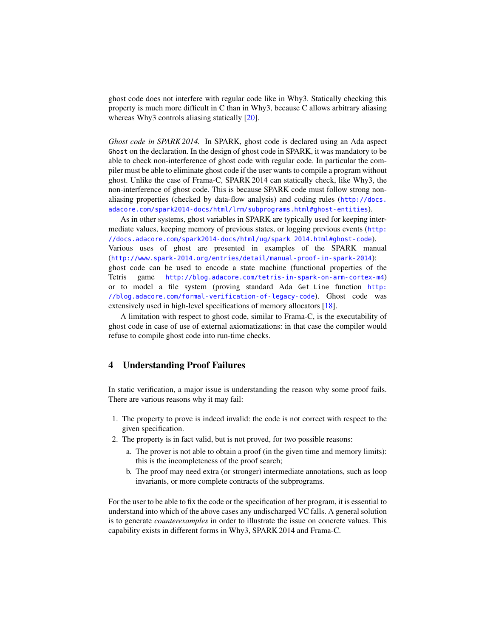ghost code does not interfere with regular code like in Why3. Statically checking this property is much more difficult in C than in Why3, because C allows arbitrary aliasing whereas Why3 controls aliasing statically [\[20\]](#page-15-17).

*Ghost code in SPARK 2014.* In SPARK, ghost code is declared using an Ada aspect Ghost on the declaration. In the design of ghost code in SPARK, it was mandatory to be able to check non-interference of ghost code with regular code. In particular the compiler must be able to eliminate ghost code if the user wants to compile a program without ghost. Unlike the case of Frama-C, SPARK 2014 can statically check, like Why3, the non-interference of ghost code. This is because SPARK code must follow strong nonaliasing properties (checked by data-flow analysis) and coding rules ([http://docs.](http://docs.adacore.com/spark2014-docs/html/lrm/subprograms.html#ghost-entities) [adacore.com/spark2014-docs/html/lrm/subprograms.html#ghost-entities](http://docs.adacore.com/spark2014-docs/html/lrm/subprograms.html#ghost-entities)).

As in other systems, ghost variables in SPARK are typically used for keeping intermediate values, keeping memory of previous states, or logging previous events ([http:](http://docs.adacore.com/spark2014-docs/html/ug/spark_2014.html#ghost-code) [//docs.adacore.com/spark2014-docs/html/ug/spark\\_2014.html#ghost-code](http://docs.adacore.com/spark2014-docs/html/ug/spark_2014.html#ghost-code)). Various uses of ghost are presented in examples of the SPARK manual (<http://www.spark-2014.org/entries/detail/manual-proof-in-spark-2014>): ghost code can be used to encode a state machine (functional properties of the Tetris game <http://blog.adacore.com/tetris-in-spark-on-arm-cortex-m4>) or to model a file system (proving standard Ada Get\_Line function [http:](http://blog.adacore.com/formal-verification-of-legacy-code) [//blog.adacore.com/formal-verification-of-legacy-code](http://blog.adacore.com/formal-verification-of-legacy-code)). Ghost code was extensively used in high-level specifications of memory allocators [\[18\]](#page-14-15).

A limitation with respect to ghost code, similar to Frama-C, is the executability of ghost code in case of use of external axiomatizations: in that case the compiler would refuse to compile ghost code into run-time checks.

## <span id="page-11-0"></span>4 Understanding Proof Failures

In static verification, a major issue is understanding the reason why some proof fails. There are various reasons why it may fail:

- 1. The property to prove is indeed invalid: the code is not correct with respect to the given specification.
- 2. The property is in fact valid, but is not proved, for two possible reasons:
	- a. The prover is not able to obtain a proof (in the given time and memory limits): this is the incompleteness of the proof search;
	- b. The proof may need extra (or stronger) intermediate annotations, such as loop invariants, or more complete contracts of the subprograms.

For the user to be able to fix the code or the specification of her program, it is essential to understand into which of the above cases any undischarged VC falls. A general solution is to generate *counterexamples* in order to illustrate the issue on concrete values. This capability exists in different forms in Why3, SPARK 2014 and Frama-C.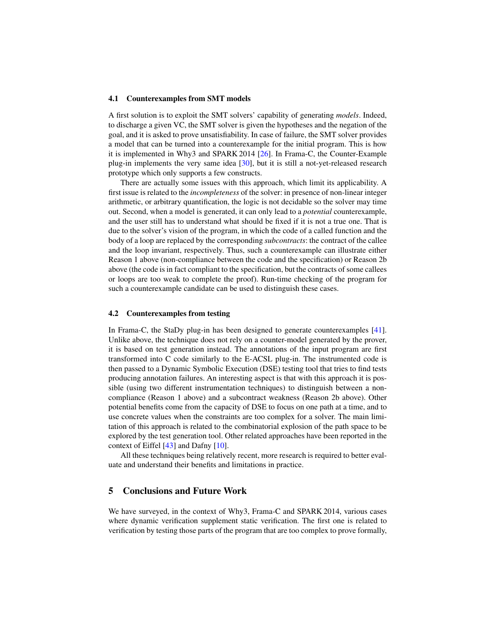### 4.1 Counterexamples from SMT models

A first solution is to exploit the SMT solvers' capability of generating *models*. Indeed, to discharge a given VC, the SMT solver is given the hypotheses and the negation of the goal, and it is asked to prove unsatisfiability. In case of failure, the SMT solver provides a model that can be turned into a counterexample for the initial program. This is how it is implemented in Why3 and SPARK 2014 [\[26\]](#page-15-20). In Frama-C, the Counter-Example plug-in implements the very same idea [\[30\]](#page-15-10), but it is still a not-yet-released research prototype which only supports a few constructs.

There are actually some issues with this approach, which limit its applicability. A first issue is related to the *incompleteness* of the solver: in presence of non-linear integer arithmetic, or arbitrary quantification, the logic is not decidable so the solver may time out. Second, when a model is generated, it can only lead to a *potential* counterexample, and the user still has to understand what should be fixed if it is not a true one. That is due to the solver's vision of the program, in which the code of a called function and the body of a loop are replaced by the corresponding *subcontracts*: the contract of the callee and the loop invariant, respectively. Thus, such a counterexample can illustrate either Reason 1 above (non-compliance between the code and the specification) or Reason 2b above (the code is in fact compliant to the specification, but the contracts of some callees or loops are too weak to complete the proof). Run-time checking of the program for such a counterexample candidate can be used to distinguish these cases.

### 4.2 Counterexamples from testing

In Frama-C, the StaDy plug-in has been designed to generate counterexamples [\[41\]](#page-15-21). Unlike above, the technique does not rely on a counter-model generated by the prover, it is based on test generation instead. The annotations of the input program are first transformed into C code similarly to the E-ACSL plug-in. The instrumented code is then passed to a Dynamic Symbolic Execution (DSE) testing tool that tries to find tests producing annotation failures. An interesting aspect is that with this approach it is possible (using two different instrumentation techniques) to distinguish between a noncompliance (Reason 1 above) and a subcontract weakness (Reason 2b above). Other potential benefits come from the capacity of DSE to focus on one path at a time, and to use concrete values when the constraints are too complex for a solver. The main limitation of this approach is related to the combinatorial explosion of the path space to be explored by the test generation tool. Other related approaches have been reported in the context of Eiffel [\[43\]](#page-15-22) and Dafny [\[10\]](#page-14-16).

All these techniques being relatively recent, more research is required to better evaluate and understand their benefits and limitations in practice.

# <span id="page-12-0"></span>5 Conclusions and Future Work

We have surveyed, in the context of Why3, Frama-C and SPARK 2014, various cases where dynamic verification supplement static verification. The first one is related to verification by testing those parts of the program that are too complex to prove formally,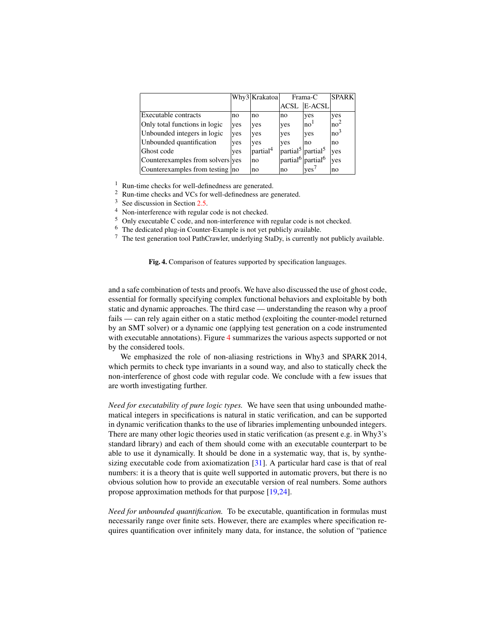|                                  |     | Why3 Krakatoa        | Frama-C                                   |                                           | <b>SPARK</b>    |
|----------------------------------|-----|----------------------|-------------------------------------------|-------------------------------------------|-----------------|
|                                  |     |                      | <b>ACSL</b>                               | E-ACSL                                    |                 |
| Executable contracts             | no  | no                   | no                                        | yes                                       | yes             |
| Only total functions in logic    | yes | yes                  | yes                                       | no <sup>1</sup>                           | no <sup>2</sup> |
| Unbounded integers in logic      | yes | yes                  | yes                                       | yes                                       | no <sup>3</sup> |
| Unbounded quantification         | yes | yes                  | yes                                       | no                                        | no              |
| Ghost code                       | yes | partial <sup>4</sup> | partial <sup>5</sup> partial <sup>5</sup> |                                           | yes             |
| Counterexamples from solvers ves |     | no                   |                                           | partial <sup>6</sup> partial <sup>6</sup> | yes             |
| Counterexamples from testing no  |     | no                   | no                                        | ves'                                      | no              |

<sup>1</sup> Run-time checks for well-definedness are generated.

- <sup>2</sup> Run-time checks and VCs for well-definedness are generated.
- <sup>3</sup> See discussion in Section [2.5.](#page-6-0)
- <sup>4</sup> Non-interference with regular code is not checked.
- <sup>5</sup> Only executable C code, and non-interference with regular code is not checked.
- <sup>6</sup> The dedicated plug-in Counter-Example is not yet publicly available.
- <sup>7</sup> The test generation tool PathCrawler, underlying StaDy, is currently not publicly available.

<span id="page-13-0"></span>Fig. 4. Comparison of features supported by specification languages.

and a safe combination of tests and proofs. We have also discussed the use of ghost code, essential for formally specifying complex functional behaviors and exploitable by both static and dynamic approaches. The third case — understanding the reason why a proof fails — can rely again either on a static method (exploiting the counter-model returned by an SMT solver) or a dynamic one (applying test generation on a code instrumented with executable annotations). Figure [4](#page-13-0) summarizes the various aspects supported or not by the considered tools.

We emphasized the role of non-aliasing restrictions in Why3 and SPARK 2014, which permits to check type invariants in a sound way, and also to statically check the non-interference of ghost code with regular code. We conclude with a few issues that are worth investigating further.

*Need for executability of pure logic types.* We have seen that using unbounded mathematical integers in specifications is natural in static verification, and can be supported in dynamic verification thanks to the use of libraries implementing unbounded integers. There are many other logic theories used in static verification (as present e.g. in Why3's standard library) and each of them should come with an executable counterpart to be able to use it dynamically. It should be done in a systematic way, that is, by synthesizing executable code from axiomatization  $[31]$ . A particular hard case is that of real numbers: it is a theory that is quite well supported in automatic provers, but there is no obvious solution how to provide an executable version of real numbers. Some authors propose approximation methods for that purpose [\[19,](#page-14-17)[24\]](#page-15-24).

*Need for unbounded quantification.* To be executable, quantification in formulas must necessarily range over finite sets. However, there are examples where specification requires quantification over infinitely many data, for instance, the solution of "patience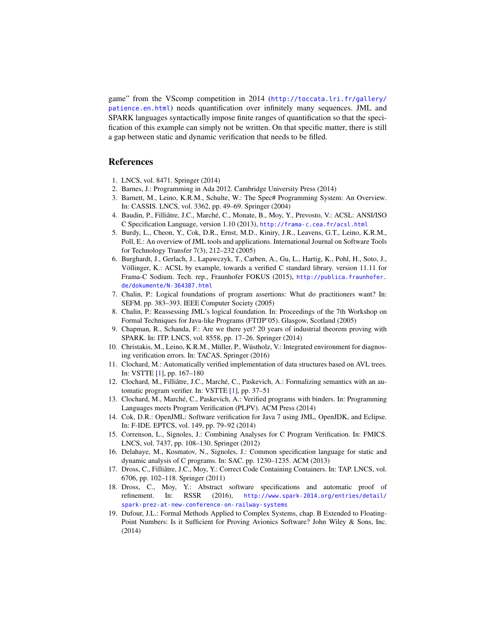game" from the VScomp competition in 2014 ([http://toccata.lri.fr/gallery/](http://toccata.lri.fr/gallery/patience.en.html) [patience.en.html](http://toccata.lri.fr/gallery/patience.en.html)) needs quantification over infinitely many sequences. JML and SPARK languages syntactically impose finite ranges of quantification so that the specification of this example can simply not be written. On that specific matter, there is still a gap between static and dynamic verification that needs to be filled.

### References

- <span id="page-14-18"></span>1. LNCS, vol. 8471. Springer (2014)
- <span id="page-14-2"></span>2. Barnes, J.: Programming in Ada 2012. Cambridge University Press (2014)
- <span id="page-14-4"></span>3. Barnett, M., Leino, K.R.M., Schulte, W.: The Spec# Programming System: An Overview. In: CASSIS. LNCS, vol. 3362, pp. 49–69. Springer (2004)
- <span id="page-14-0"></span>4. Baudin, P., Filliâtre, J.C., Marché, C., Monate, B., Moy, Y., Prevosto, V.: ACSL: ANSI/ISO C Specification Language, version 1.10 (2013), <http://frama-c.cea.fr/acsl.html>
- <span id="page-14-3"></span>5. Burdy, L., Cheon, Y., Cok, D.R., Ernst, M.D., Kiniry, J.R., Leavens, G.T., Leino, K.R.M., Poll, E.: An overview of JML tools and applications. International Journal on Software Tools for Technology Transfer 7(3), 212–232 (2005)
- <span id="page-14-14"></span>6. Burghardt, J., Gerlach, J., Lapawczyk, T., Carben, A., Gu, L., Hartig, K., Pohl, H., Soto, J., Völlinger, K.: ACSL by example, towards a verified C standard library. version 11.11 for Frama-C Sodium. Tech. rep., Fraunhofer FOKUS (2015), [http://publica.fraunhofer.](http://publica.fraunhofer.de/dokumente/N-364387.html) [de/dokumente/N-364387.html](http://publica.fraunhofer.de/dokumente/N-364387.html)
- <span id="page-14-6"></span>7. Chalin, P.: Logical foundations of program assertions: What do practitioners want? In: SEFM. pp. 383–393. IEEE Computer Society (2005)
- <span id="page-14-7"></span>8. Chalin, P.: Reassessing JML's logical foundation. In: Proceedings of the 7th Workshop on Formal Techniques for Java-like Programs (FTfJP'05). Glasgow, Scotland (2005)
- <span id="page-14-1"></span>9. Chapman, R., Schanda, F.: Are we there yet? 20 years of industrial theorem proving with SPARK. In: ITP. LNCS, vol. 8558, pp. 17–26. Springer (2014)
- <span id="page-14-16"></span>10. Christakis, M., Leino, K.R.M., Müller, P., Wüstholz, V.: Integrated environment for diagnosing verification errors. In: TACAS. Springer (2016)
- <span id="page-14-8"></span>11. Clochard, M.: Automatically verified implementation of data structures based on AVL trees. In: VSTTE [\[1\]](#page-14-18), pp. 167–180
- <span id="page-14-12"></span>12. Clochard, M., Filliâtre, J.C., Marché, C., Paskevich, A.: Formalizing semantics with an automatic program verifier. In: VSTTE [\[1\]](#page-14-18), pp. 37–51
- <span id="page-14-13"></span>13. Clochard, M., Marché, C., Paskevich, A.: Verified programs with binders. In: Programming Languages meets Program Verification (PLPV). ACM Press (2014)
- <span id="page-14-5"></span>14. Cok, D.R.: OpenJML: Software verification for Java 7 using JML, OpenJDK, and Eclipse. In: F-IDE. EPTCS, vol. 149, pp. 79–92 (2014)
- <span id="page-14-11"></span>15. Correnson, L., Signoles, J.: Combining Analyses for C Program Verification. In: FMICS. LNCS, vol. 7437, pp. 108–130. Springer (2012)
- <span id="page-14-9"></span>16. Delahaye, M., Kosmatov, N., Signoles, J.: Common specification language for static and dynamic analysis of C programs. In: SAC. pp. 1230–1235. ACM (2013)
- <span id="page-14-10"></span>17. Dross, C., Filliâtre, J.C., Moy, Y.: Correct Code Containing Containers. In: TAP. LNCS, vol. 6706, pp. 102–118. Springer (2011)
- <span id="page-14-15"></span>18. Dross, C., Moy, Y.: Abstract software specifications and automatic proof of refinement. In: RSSR (2016), [http://www.spark-2014.org/entries/detail/](http://www.spark-2014.org/entries/detail/spark-prez-at-new-conference-on-railway-systems) [spark-prez-at-new-conference-on-railway-systems](http://www.spark-2014.org/entries/detail/spark-prez-at-new-conference-on-railway-systems)
- <span id="page-14-17"></span>19. Dufour, J.L.: Formal Methods Applied to Complex Systems, chap. B Extended to Floating-Point Numbers: Is it Sufficient for Proving Avionics Software? John Wiley & Sons, Inc. (2014)